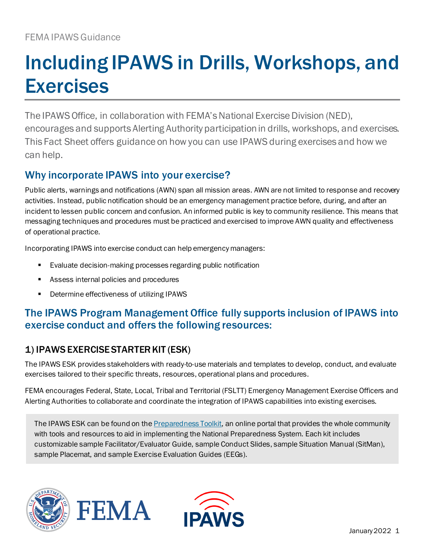# Including IPAWS in Drills, Workshops, and **Exercises**

The IPAWS Office, in collaboration with FEMA's National Exercise Division (NED), encourages and supports Alerting Authority participation in drills, workshops, and exercises. This Fact Sheet offers guidance on how you can use IPAWS during exercises and how we can help.

# Why incorporate IPAWS into your exercise?

Public alerts, warnings and notifications (AWN) span all mission areas. AWN are not limited to response and recovery activities. Instead, public notification should be an emergency management practice before, during, and after an incident to lessen public concern and confusion. An informed public is key to community resilience. This means that messaging techniques and procedures must be practiced and exercised to improve AWN quality and effectiveness of operational practice.

Incorporating IPAWS into exercise conduct can help emergency managers:

- Evaluate decision-making processes regarding public notification
- Assess internal policies and procedures
- **•** Determine effectiveness of utilizing IPAWS

# The IPAWS Program Management Office fully supports inclusion of IPAWS into exercise conduct and offers the following resources:

## 1) IPAWS EXERCISE STARTER KIT (ESK)

The IPAWS ESK provides stakeholders with ready-to-use materials and templates to develop, conduct, and evaluate exercises tailored to their specific threats, resources, operational plans and procedures.

FEMA encourages Federal, State, Local, Tribal and Territorial (FSLTT) Emergency Management Exercise Officers and Alerting Authorities to collaborate and coordinate the integration of IPAWS capabilities into existing exercises.

The IPAWS ESK can be found on the **Preparedness Toolkit**, an online portal that provides the whole community with tools and resources to aid in implementing the National Preparedness System. Each kit includes customizable sample Facilitator/Evaluator Guide, sample Conduct Slides, sample Situation Manual (SitMan), sample Placemat, and sample Exercise Evaluation Guides (EEGs).





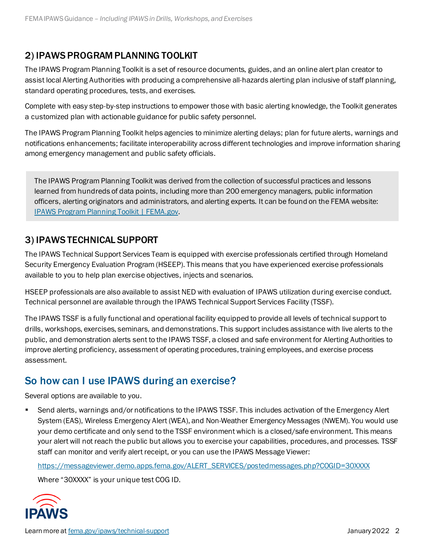#### 2) IPAWS PROGRAM PLANNING TOOLKIT

The IPAWS Program Planning Toolkit is a set of resource documents, guides, and an online alert plan creator to assist local Alerting Authorities with producing a comprehensive all-hazards alerting plan inclusive of staff planning, standard operating procedures, tests, and exercises.

Complete with easy step-by-step instructions to empower those with basic alerting knowledge, the Toolkit generates a customized plan with actionable guidance for public safety personnel.

The IPAWS Program Planning Toolkit helps agencies to minimize alerting delays; plan for future alerts, warnings and notifications enhancements; facilitate interoperability across different technologies and improve information sharing among emergency management and public safety officials.

The IPAWS Program Planning Toolkit was derived from the collection of successful practices and lessons learned from hundreds of data points, including more than 200 emergency managers, public information officers, alerting originators and administrators, and alerting experts. It can be found on the FEMA website: [IPAWS Program Planning Toolkit | FEMA.gov.](https://www.fema.gov/emergency-managers/practitioners/integrated-public-alert-warning-system/public-safety-officials/ipaws-program-planning-toolkit)

#### 3) IPAWS TECHNICAL SUPPORT

The IPAWS Technical Support Services Team is equipped with exercise professionals certified through Homeland Security Emergency Evaluation Program (HSEEP). This means that you have experienced exercise professionals available to you to help plan exercise objectives, injects and scenarios.

HSEEP professionals are also available to assist NED with evaluation of IPAWS utilization during exercise conduct. Technical personnel are available through the IPAWS Technical Support Services Facility (TSSF).

The IPAWS TSSF is a fully functional and operational facility equipped to provide all levels of technical support to drills, workshops, exercises, seminars, and demonstrations. This support includes assistance with live alerts to the public, and demonstration alerts sent to the IPAWS TSSF, a closed and safe environment for Alerting Authorities to improve alerting proficiency, assessment of operating procedures, training employees, and exercise process assessment.

## So how can I use IPAWS during an exercise?

Several options are available to you.

 Send alerts, warnings and/or notifications to the IPAWS TSSF. This includes activation of the Emergency Alert System (EAS), Wireless Emergency Alert (WEA), and Non-Weather Emergency Messages (NWEM). You would use your demo certificate and only send to the TSSF environment which is a closed/safe environment. This means your alert will not reach the public but allows you to exercise your capabilities, procedures, and processes. TSSF staff can monitor and verify alert receipt, or you can use the IPAWS Message Viewer:

[https://messageviewer.demo.apps.fema.gov/ALERT\\_SERVICES/postedmessages.php?COGID=30XXXX](https://messageviewer.demo.apps.fema.gov/ALERT_SERVICES/postedmessages.php?COGID=30XXXX)

Where "30XXXX" is your unique test COG ID.